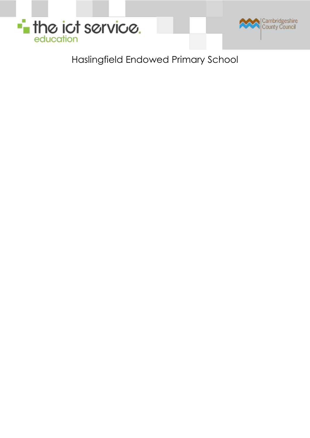

Haslingfield Endowed Primary School

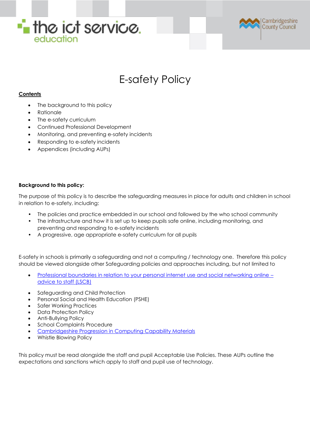



# E-safety Policy

# **Contents**

- The background to this policy
- Rationale
- The e-safety curriculum
- Continued Professional Development
- Monitoring, and preventing e-safety incidents
- Responding to e-safety incidents
- Appendices (including AUPs)

# **Background to this policy:**

The purpose of this policy is to describe the safeguarding measures in place for adults and children in school in relation to e-safety, including:

- The policies and practice embedded in our school and followed by the who school community
- The infrastructure and how it is set up to keep pupils safe online, including monitoring, and preventing and responding to e-safety incidents
- A progressive, age appropriate e-safety curriculum for all pupils

E-safety in schools is primarily a safeguarding and not a computing / technology one. Therefore this policy should be viewed alongside other Safeguarding policies and approaches including, but not limited to

- [Professional boundaries in relation to your personal internet use and social networking online](http://www.cambridgeshire.gov.uk/lscb/)  [advice to staff \(LSCB\)](http://www.cambridgeshire.gov.uk/lscb/)
- Safeguarding and Child Protection
- Personal Social and Health Education (PSHE)
- Safer Working Practices
- Data Protection Policy
- Anti-Bullying Policy
- School Complaints Procedure
- [Cambridgeshire Progression in Computing Capability Materials](http://www.ccc-computing.org.uk/)
- Whistle Blowing Policy

This policy must be read alongside the staff and pupil Acceptable Use Policies. These AUPs outline the expectations and sanctions which apply to staff and pupil use of technology.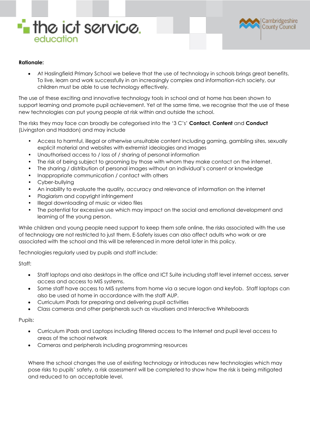



## **Rationale:**

 At Haslingfield Primary School we believe that the use of technology in schools brings great benefits. To live, learn and work successfully in an increasingly complex and information-rich society, our children must be able to use technology effectively.

The use of these exciting and innovative technology tools in school and at home has been shown to support learning and promote pupil achievement. Yet at the same time, we recognise that the use of these new technologies can put young people at risk within and outside the school.

The risks they may face can broadly be categorised into the '3 C's' **Contact**, **Content** and **Conduct** (Livingston and Haddon) and may include

- Access to harmful, illegal or otherwise unsuitable content including gaming, gambling sites, sexually explicit material and websites with extremist ideologies and images
- Unauthorised access to / loss of / sharing of personal information
- The risk of being subject to grooming by those with whom they make contact on the internet.
- The sharing / distribution of personal images without an individual's consent or knowledge
- Inappropriate communication / contact with others
- Cyber-bullying
- An inability to evaluate the quality, accuracy and relevance of information on the internet
- Plagiarism and copyright infringement
- Illegal downloading of music or video files
- The potential for excessive use which may impact on the social and emotional development and learning of the young person.

While children and young people need support to keep them safe online, the risks associated with the use of technology are not restricted to just them. E-Safety issues can also affect adults who work or are associated with the school and this will be referenced in more detail later in this policy.

Technologies regularly used by pupils and staff include:

Staff:

- Staff laptops and also desktops in the office and ICT Suite including staff level internet access, server access and access to MIS systems.
- Some staff have access to MIS systems from home via a secure logon and keyfob. Staff laptops can also be used at home in accordance with the staff AUP.
- Curriculum iPads for preparing and delivering pupil activities
- Class cameras and other peripherals such as visualisers and Interactive Whiteboards

#### Pupils:

- Curriculum iPads and Laptops including filtered access to the Internet and pupil level access to areas of the school network
- Cameras and peripherals including programming resources

Where the school changes the use of existing technology or introduces new technologies which may pose risks to pupils' safety, a risk assessment will be completed to show how the risk is being mitigated and reduced to an acceptable level.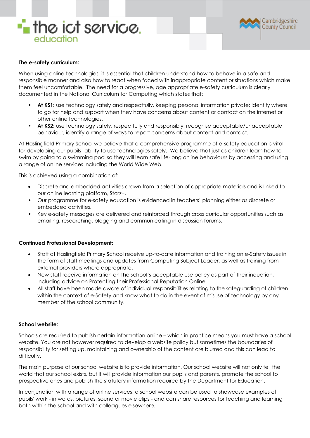



#### **The e-safety curriculum:**

When using online technologies, it is essential that children understand how to behave in a safe and responsible manner and also how to react when faced with inappropriate content or situations which make them feel uncomfortable. The need for a progressive, age appropriate e-safety curriculum is clearly documented in the National Curriculum for Computing which states that:

- **At KS1:** use technology safely and respectfully, keeping personal information private; identify where to go for help and support when they have concerns about content or contact on the internet or other online technologies.
- **At KS2:** use technology safely, respectfully and responsibly; recognise acceptable/unacceptable behaviour; identify a range of ways to report concerns about content and contact.

At Haslingfield Primary School we believe that a comprehensive programme of e-safety education is vital for developing our pupils' ability to use technologies safely. We believe that just as children learn how to swim by going to a swimming pool so they will learn safe life-long online behaviours by accessing and using a range of online services including the World Wide Web.

This is achieved using a combination of:

- Discrete and embedded activities drawn from a selection of appropriate materials and is linked to our online learning platform, Starz+.
- Our programme for e-safety education is evidenced in teachers' planning either as discrete or embedded activities.
- Key e-safety messages are delivered and reinforced through cross curricular opportunities such as emailing, researching, blogging and communicating in discussion forums.

#### **Continued Professional Development:**

- Staff at Haslingfield Primary School receive up-to-date information and training on e-Safety issues in the form of staff meetings and updates from Computing Subject Leader, as well as training from external providers where appropriate.
- New staff receive information on the school's acceptable use policy as part of their induction, including advice on Protecting their Professional Reputation Online.
- All staff have been made aware of individual responsibilities relating to the safeguarding of children within the context of e-Safety and know what to do in the event of misuse of technology by any member of the school community.

#### **School website:**

Schools are required to publish certain information online – which in practice means you must have a school website. You are not however required to develop a website policy but sometimes the boundaries of responsibility for setting up, maintaining and ownership of the content are blurred and this can lead to difficulty.

The main purpose of our school website is to provide information. Our school website will not only tell the world that our school exists, but it will provide information our pupils and parents, promote the school to prospective ones and publish the statutory information required by the Department for Education.

In conjunction with a range of online services, a school website can be used to showcase examples of pupils' work - in words, pictures, sound or movie clips - and can share resources for teaching and learning both within the school and with colleagues elsewhere.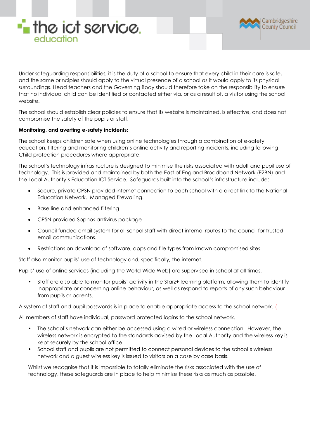



Under safeguarding responsibilities, it is the duty of a school to ensure that every child in their care is safe, and the same principles should apply to the virtual presence of a school as it would apply to its physical surroundings. Head teachers and the Governing Body should therefore take on the responsibility to ensure that no individual child can be identified or contacted either via, or as a result of, a visitor using the school website.

The school should establish clear policies to ensure that its website is maintained, is effective, and does not compromise the safety of the pupils or staff.

## **Monitoring, and averting e-safety incidents:**

The school keeps children safe when using online technologies through a combination of e-safety education, filtering and monitoring children's online activity and reporting incidents, including following Child protection procedures where appropriate.

The school's technology infrastructure is designed to minimise the risks associated with adult and pupil use of technology. This is provided and maintained by both the East of England Broadband Network (E2BN) and the Local Authority's Education ICT Service. Safeguards built into the school's infrastructure include:

- Secure, private CPSN provided internet connection to each school with a direct link to the National Education Network. Managed firewalling.
- Base line and enhanced filtering
- CPSN provided Sophos antivirus package
- Council funded email system for all school staff with direct internal routes to the council for trusted email communications.
- Restrictions on download of software, apps and file types from known compromised sites

Staff also monitor pupils' use of technology and, specifically, the internet.

Pupils' use of online services (including the World Wide Web) are supervised in school at all times.

• Staff are also able to monitor pupils' activity in the Starz+ learning platform, allowing them to identify inappropriate or concerning online behaviour, as well as respond to reports of any such behaviour from pupils or parents.

A system of staff and pupil passwords is in place to enable appropriate access to the school network. (

All members of staff have individual, password protected logins to the school network.

- The school's network can either be accessed using a wired or wireless connection. However, the wireless network is encrypted to the standards advised by the Local Authority and the wireless key is kept securely by the school office.
- School staff and pupils are not permitted to connect personal devices to the school's wireless network and a guest wireless key is issued to visitors on a case by case basis.

Whilst we recognise that it is impossible to totally eliminate the risks associated with the use of technology, these safeguards are in place to help minimise these risks as much as possible.